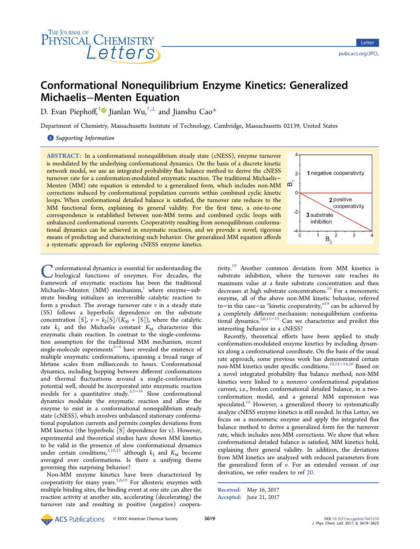

# Conformational Nonequilibrium Enzyme Kinetics: Generalized Michaelis−Menten Equation

D. Evan Piephoff,<sup>[†](#page-4-0)</sup>● Jianlan Wu, $^{\dagger,\perp}$  and Jianshu Cao $^*$  $^*$ 

Department of Chemistry, Massachusetts Institute of Technology, Cambridge, Massachusetts 02139, United States

S [Supporting Information](#page-4-0)

ABSTRACT: In a conformational nonequilibrium steady state (cNESS), enzyme turnover is modulated by the underlying conformational dynamics. On the basis of a discrete kinetic network model, we use an integrated probability flux balance method to derive the cNESS turnover rate for a conformation-modulated enzymatic reaction. The traditional Michaelis− Menten (MM) rate equation is extended to a generalized form, which includes non-MM corrections induced by conformational population currents within combined cyclic kinetic loops. When conformational detailed balance is satisfied, the turnover rate reduces to the MM functional form, explaining its general validity. For the first time, a one-to-one correspondence is established between non-MM terms and combined cyclic loops with unbalanced conformational currents. Cooperativity resulting from nonequilibrium conformational dynamics can be achieved in enzymatic reactions, and we provide a novel, rigorous means of predicting and characterizing such behavior. Our generalized MM equation affords a systematic approach for exploring cNESS enzyme kinetics.

onformational dynamics is essential for understanding the biological functions of enzymes. For decades, the framework of enzymatic reactions has been the traditional Michaelis-Menten (MM) mechanism,<sup>[1](#page-4-0)</sup> where enzyme-substrate binding initializes an irreversible catalytic reaction to form a product. The average turnover rate  $\nu$  in a steady state (SS) follows a hyperbolic dependence on the substrate concentration [S],  $v = k_2[S]/(K_M + [S])$ , where the catalytic rate  $k_2$  and the Michaelis constant  $K_M$  characterize this enzymatic chain reaction. In contrast to the single-conformation assumption for the traditional MM mechanism, recent single-molecule experiments<sup>[2](#page-4-0)−[4](#page-4-0)</sup> have revealed the existence of multiple enzymatic conformations, spanning a broad range of lifetime scales from milliseconds to hours. Conformational dynamics, including hopping between different conformations and thermal fluctuations around a single-conformation potential well, should be incorporated into enzymatic reaction models for a quantitative study.[3,5](#page-4-0)−[18](#page-4-0) Slow conformational dynamics modulate the enzymatic reaction and allow the enzyme to exist in a conformational nonequilibrium steady state (cNESS), which involves unbalanced stationary conformational population currents and permits complex deviations from MM kinetics (the hyperbolic  $[S]$  dependence for  $v$ ). However, experimental and theoretical studies have shown MM kinetics to be valid in the presence of slow conformational dynamics under certain conditions,<sup>[3](#page-4-0),[10,15](#page-4-0)</sup> although  $k_2$  and  $K_M$  become averaged over conformations. Is there a unifying theme governing this surprising behavior?

Non-MM enzyme kinetics have been characterized by cooperativity for many years.  $5,6,19$  $5,6,19$  $5,6,19$  $5,6,19$  $5,6,19$  For allosteric enzymes with multiple binding sites, the binding event at one site can alter the reaction activity at another site, accelerating (decelerating) the turnover rate and resulting in positive (negative) coopera-



tivity.[19](#page-4-0) Another common deviation from MM kinetics is substrate inhibition, where the turnover rate reaches its maximum value at a finite substrate concentration and then decreases at high substrate concentrations.<sup>[19](#page-4-0)</sup> For a monomeric enzyme, all of the above non-MM kinetic behavior, referred to−in this case−as "kinetic cooperativity," [19](#page-4-0) can be achieved by a completely different mechanism: nonequilibrium conformational dynamics.[5,6,11](#page-4-0)−[15](#page-4-0) Can we characterize and predict this interesting behavior in a cNESS?

Recently, theoretical efforts have been applied to study conformation-modulated enzyme kinetics by including dynamics along a conformational coordinate. On the basis of the usual rate approach, some previous work has demonstrated certain non-MM kinetics under specific conditions.<sup>[10](#page-4-0),[12](#page-4-0)–[14](#page-4-0),[16](#page-4-0)</sup> Based on a novel integrated probability flux balance method, non-MM kinetics were linked to a nonzero conformational population current, i.e., broken conformational detailed balance, in a twoconformation model, and a general MM expression was speculated.<sup>[15](#page-4-0)</sup> However, a generalized theory to systematically analyze cNESS enzyme kinetics is still needed. In this Letter, we focus on a monomeric enzyme and apply the integrated flux balance method to derive a generalized form for the turnover rate, which includes non-MM corrections. We show that when conformational detailed balance is satisfied, MM kinetics hold, explaining their general validity. In addition, the deviations from MM kinetics are analyzed with reduced parameters from the generalized form of  $\nu$ . For an extended version of our derivation, we refer readers to ref [20](#page-4-0).

Received: May 16, 2017 Accepted: June 21, 2017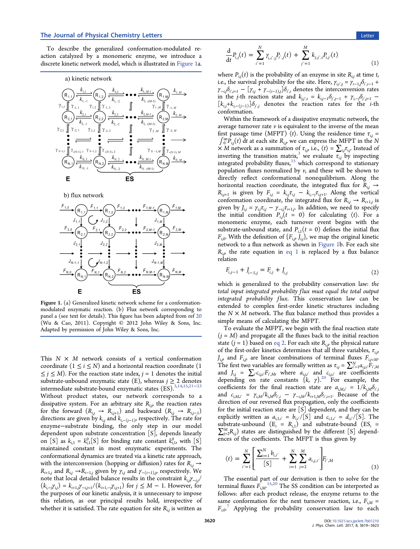<span id="page-1-0"></span>To describe the generalized conformation-modulated reaction catalyzed by a monomeric enzyme, we introduce a discrete kinetic network model, which is illustrated in Figure 1a.

a) kinetic network



b) flux network



Figure 1. (a) Generalized kinetic network scheme for a conformationmodulated enzymatic reaction. (b) Flux network corresponding to panel a (see text for details). This figure has been adapted from ref [20](#page-4-0) (Wu & Cao, 2011). Copyright © 2012 John Wiley & Sons, Inc. Adapted by permission of John Wiley & Sons, Inc.

This  $N \times M$  network consists of a vertical conformation coordinate  $(1 \le i \le N)$  and a horizontal reaction coordinate (1)  $\leq j \leq M$ ). For the reaction state index,  $j = 1$  denotes the initial substrate-unbound enzymatic state (E), whereas  $j \geq 2$  denotes intermediate substrate-bound enzymatic states (ES).[3,14](#page-4-0),[15,21](#page-4-0)−[23](#page-4-0) Without product states, our network corresponds to a dissipative system. For an arbitrary site  $R_{i,j}$ , the reaction rates for the forward  $(R_{i,j} \rightarrow R_{i,j+1})$  and backward  $(R_{i,j} \rightarrow R_{i,j-1})$ directions are given by  $k_{i,j}$  and  $k_{i,-(j-1)}$ , respectively. The rate for enzyme−substrate binding, the only step in our model dependent upon substrate concentration [S], depends linearly on [S] as  $k_{i,1} = k_{i,1}^0[S]$  for binding rate constant  $k_{i,1}^0$ , with [S] maintained constant in most enzymatic experiments. The conformational dynamics are treated via a kinetic rate approach, with the interconversion (hopping or diffusion) rates for  $R_{i,j} \rightarrow$  $R_{i+1,j}$  and  $R_{i,j} \rightarrow R_{i-1,j}$  given by  $\gamma_{i,j}$  and  $\gamma_{-(i-1),j'}$  respectively. We note that local detailed balance results in the constraint  $k_{i,j} \gamma_{-i,j}/\gamma_{j}$  $(k_{i,-j} \gamma_{i,j}) = k_{i+1,j} \gamma_{-i,j+1} / (k_{i+1,-j} \gamma_{i,j+1})$  for  $j \leq M - 1$ . However, for the purposes of our kinetic analysis, it is unnecessary to impose this relation, as our principal results hold, irrespective of whether it is satisfied. The rate equation for site  $R_{i,j}$  is written as

$$
\frac{\mathrm{d}}{\mathrm{d}t}P_{i,j}(t) = \sum_{i'=1}^{N} \gamma_{i,i',j} P_{i',j}(t) + \sum_{j'=1}^{M} k_{j,j',i} P_{i,j'}(t) \tag{1}
$$

where  $P_{i,j}(t)$  is the probability of an enzyme in site  $R_{i,j}$  at time  $t$ , i.e., the survival probability for the site. Here,  $\gamma_{i,i' ; j} = \gamma_{i-1,j} \delta_{i',i-1}$  +  $\gamma_{-i,j}\delta_{i',i+1} - \bigl[ \gamma_{i,j} + \gamma_{-(i-1),j} \bigr] \delta_{i',i}$  denotes the interconversion rates in the *j*-th reaction state and  $k_{j,j',i} = k_{i,j-1}\delta_{j',j-1} + \gamma_{i,-j}\delta_{j',j+1}$  $[k_{i,j}+k_{i,-(j-1)}]\delta_{j',j}$  denotes the reaction rates for the *i*-th conformation.

Within the framework of a dissipative enzymatic network, the average turnover rate  $\nu$  is equivalent to the inverse of the mean first passage time (MFPT)  $\langle t \rangle$ . Using the residence time  $\tau_{i,j}$  =  $\int_0^\infty P_{i,j}(t) dt$  at each site  $R_{i,j}$ , we can express the MFPT in the N  $\times$  M network as a summation of  $\tau_{i,j}$ , i.e.,  $\langle t \rangle = \sum_{i,j} \tau_{i,j}$ . Instead of inverting the transition matrix,<sup>[3](#page-4-0)</sup> we evaluate  $\tau_{i,j}$  by inspecting integrated probability fluxes, $15$  which correspond to stationary population fluxes normalized by  $v$ , and these will be shown to directly reflect conformational nonequilibrium. Along the horizontal reaction coordinate, the integrated flux for  $R_{i,j} \rightarrow$  $R_{i,j+1}$  is given by  $F_{i,j} = k_{i,j} \tau_{i,j} - k_{i,-j} \tau_{i,j+1}$ . Along the vertical conformation coordinate, the integrated flux for  $R_{i,j} \rightarrow R_{i+1,j}$  is given by  $J_{i,j} = \gamma_{i,j} \tau_{i,j} - \gamma_{-i,j} \tau_{i+1,j}$ . In addition, we need to specify the initial condition  $P_{i,j}(t = 0)$  for calculating  $\langle t \rangle$ . For a monomeric enzyme, each turnover event begins with the substrate-unbound state, and  $P_{i,1}(t = 0)$  defines the initial flux  $F_{i,0}$ . With the definition of  $\{F_{i,j}, \hat{J}_{i,j}\}$ , we map the original kinetic network to a flux network as shown in Figure 1b. For each site  $R_{i,j}$ , the rate equation in eq 1 is replaced by a flux balance relation

$$
F_{i,j-1} + J_{i-1,j} = F_{i,j} + J_{i,j}
$$
\n(2)

which is generalized to the probability conservation law: the total input integrated probability flux must equal the total output integrated probability flux. This conservation law can be extended to complex first-order kinetic structures including the  $N \times M$  network. The flux balance method thus provides a simple means of calculating the MFPT.

To evaluate the MFPT, we begin with the final reaction state  $(j = M)$  and propagate all the fluxes back to the initial reaction state  $(j = 1)$  based on eq 2. For each site  $R_{i,j}$ , the physical nature of the first-order kinetics determines that all three variables,  $\tau_{i,i}$ , ,  $J_{i,j}$  and  $F_{i,j}$  are linear combinations of terminal fluxes  $F_{i,j=M}$ . The first two variables are formally written as  $\tau_{i,j} = \sum_{i'=1}^{N} a_{i,j,i'} \overline{F}_{i',M}$ and  $J_{i,j} = \sum_{i'} c_{i,j,i'} F_{i',M}$ , where  $a_{i,j,i'}$  and  $c_{i,j,i'}$  are coefficients depending on rate constants  $\{\vec{k}, \gamma\}$ .<sup>[20](#page-4-0)</sup> For example, the coefficients for the final reaction state are  $a_{i,M,i'} = 1/k_{i,M} \delta_{i',i}$ and  $c_{i,M,i'} = \gamma_{i,M} / k_{i,M} \delta_{i',i} - \gamma_{-i,M} / k_{i+1,M} \delta_{i',i+1}$ . Because of the direction of our reversed flux propagation, only the coefficients for the initial reaction state are [S] dependent, and they can be explicitly written as  $a_{i,1,i'} = b_{i,i'}/[S]$  and  $c_{i,1,i'} = d_{i,i'}/[S]$ . The substrate-unbound  $(E_i = R_{i,1})$  and substrate-bound  $(ES_i =$  $\sum_{j=2}^{M} R_{i,j}$ ) states are distinguished by the different [S] dependences of the coefficients. The MFPT is thus given by

$$
\langle t \rangle = \sum_{i'=1}^{N} \left[ \frac{\sum_{i=1}^{N} b_{i,i'}}{[S]} + \sum_{i=1}^{N} \sum_{j=2}^{M} a_{i,j,i'} \right] F_{i',M} \tag{3}
$$

The essential part of our derivation is then to solve for the terminal fluxes  $\vec{F}_{i,M}$ . <sup>[15,20](#page-4-0)</sup> The SS condition can be interpreted as follows: after each product release, the enzyme returns to the same conformation for the next turnover reaction, i.e.,  $F_{i,M}$  =  $F_{i,0}$ <sup>[7](#page-4-0)</sup> Applying the probability conservation law to each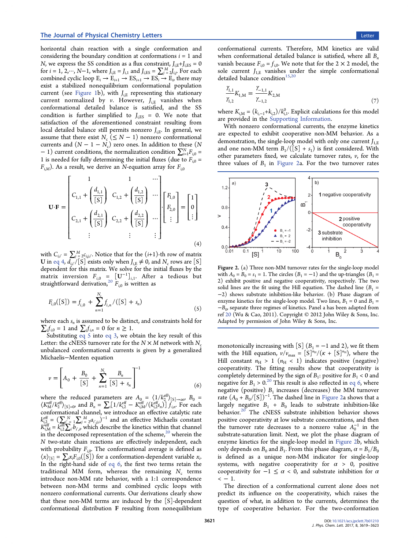<span id="page-2-0"></span>horizontal chain reaction with a single conformation and considering the boundary condition at conformations  $i = 1$  and N, we express the SS condition as a flux constraint,  $J_{i,E}+J_{i,ES} = 0$ for  $i = 1, 2, \cdots$ ,  $N-1$ , where  $J_{i, \mathrm{E}} = J_{i,1}$  and  $J_{i, \mathrm{ES}} = \sum_{j=2}^{M} J_{i, j}$ . For each combined cyclic loop  $E_i \rightarrow E_{i+1} \rightarrow ES_{i+1} \rightarrow ES_i \rightarrow E_j$  there may exist a stabilized nonequilibrium conformational population current (see [Figure 1](#page-1-0)b), with  $J_{i,E}$  representing this stationary current normalized by v. However,  $J_{i,E}$  vanishes when conformational detailed balance is satisfied, and the SS condition is further simplified to  $J_{i,ES} = 0$ . We note that satisfaction of the aforementioned constraint resulting from local detailed balance still permits nonzero  $J_{i,F}$ . In general, we assume that there exist  $N_c$  ( $\leq N-1$ ) nonzero conformational currents and  $(N - 1 - N_c)$  zero ones. In addition to these (N  $-1$ ) current conditions, the normalization condition  $\sum_{i=1}^{N} F_{i,0} =$ 1 is needed for fully determining the initial fluxes (due to  $F_{i,0}$  =  $F_{i,M}$ ). As a result, we derive an N-equation array for  $F_{i,0}$ 

$$
\mathbf{U} \cdot \mathbf{F} = \begin{bmatrix} 1 & 1 & \cdots \\ C_{1,1} + \left(\frac{d_{1,1}}{[S]}\right) & C_{1,2} + \left(\frac{d_{1,2}}{[S]}\right) & \cdots \\ C_{2,1} + \left(\frac{d_{2,1}}{[S]}\right) & C_{2,2} + \left(\frac{d_{2,2}}{[S]}\right) & \cdots \\ \vdots & \vdots & \vdots \end{bmatrix} \begin{bmatrix} F_{1,0} \\ F_{2,0} \\ \vdots \end{bmatrix} = \begin{bmatrix} 1 \\ 0 \\ \vdots \end{bmatrix}
$$
(4)

with  $C_{i,i'} = \sum_{j=2}^{M} \mathcal{L}_{i,j,i'}$ . Notice that for the  $(i+1)$ -th row of matrix **U** in eq 4,  $d_{i,i'}/[S]$  exists only when  $J_{i,E} \neq 0$ , and  $N_c$  rows are  $[S]$ dependent for this matrix. We solve for the initial fluxes by the matrix inversion  $F_{i,0} = [U^{-1}]_{i,1}$ . After a tedious but straightforward derivation,<sup>[20](#page-4-0)</sup>  $F_{i,0}$  is written as

$$
F_{i,0}([S]) = f_{i,0} + \sum_{n=1}^{N_e} f_{i,n} / ([S] + s_n)
$$
\n(5)

where each  $s_n$  is assumed to be distinct, and constraints hold for  $\sum_i f_{i,0} = 1$  and  $\sum_i f_{i,n} = 0$  for  $n \ge 1$ .

Substituting eq 5 into [eq 3](#page-1-0), we obtain the key result of this Letter: the cNESS turnover rate for the  $N \times M$  network with  $N_c$ unbalanced conformational currents is given by a generalized Michaelis−Menten equation

$$
\nu = \left[ A_0 + \frac{B_0}{[S]} + \sum_{n=1}^{N_c} \frac{B_n}{[S] + s_n} \right]^{-1} \tag{6}
$$

where the reduced parameters are  $A_0 = \langle 1/k_2^{\text{eff}} \rangle_{[S] \to \infty}$ ,  $B_0 =$  $\langle K_{\text{M}}^{\text{eff}}/k_2^{\text{eff}}\rangle_{\text{[S]}=0}$ , and  $B_n = \sum_i [1/k_{i,2}^{\text{eff}} - K_{i,M}^{\text{eff}}/(k_{i,2}^{\text{eff}}\xi_n)] \dot{f}_{i,n}$ . For each conformational channel, we introduce an effective catalytic rate  $k_{i,2}^{\text{eff}} = \left(\sum_{i'=1}^{N} \sum_{j=2}^{M} a_{i',j,i}\right)^{-1}$  and an effective Michaelis constant  $K_{i,M}^{\text{eff}} = k_{i,2}^{\overline{\text{eff}}}\sum_{i'}b_{i',i'}^{\overline{\text{eff}}}$  which describe the kinetics within that channel in the decomposed representation of the scheme,<sup>[20](#page-4-0)</sup> wherein the N two-state chain reactions are effectively independent, each with probability  $F_{i,0}$ . The conformational average is defined as  $\langle x \rangle_{[S]} = \sum_i x_i F_{i,0}([S])$  for a conformation-dependent variable  $x_i$ . In the right-hand side of eq 6, the first two terms retain the traditional MM form, whereas the remaining  $N_c$  terms introduce non-MM rate behavior, with a 1:1 correspondence between non-MM terms and combined cyclic loops with nonzero conformational currents. Our derivations clearly show that these non-MM terms are induced by the [S]-dependent conformational distribution F resulting from nonequilibrium

conformational currents. Therefore, MM kinetics are valid when conformational detailed balance is satisfied, where all  $B_n$ vanish because  $F_{i,0} = f_{i,0}$ . We note that for the 2  $\times$  2 model, the sole current  $J_{1,E}$  vanishes under the simple conformational detailed balance condition<sup>[15,20](#page-4-0)</sup>

$$
\frac{\gamma_{1,1}}{\gamma_{1,2}}K_{1,M} = \frac{\gamma_{-1,1}}{\gamma_{-1,2}}K_{2,M}
$$
\n(7)

where  $K_{i,M} = (k_{i,-1}+k_{i,2})/k_{i,1}^0$ . Explicit calculations for this model are provided in the [Supporting Information.](http://pubs.acs.org/doi/suppl/10.1021/acs.jpclett.7b01210/suppl_file/jz7b01210_si_001.pdf)

With nonzero conformational currents, the enzyme kinetics are expected to exhibit cooperative non-MM behavior. As a demonstration, the single-loop model with only one current  $J_{1,\mathrm{E}}$ and one non-MM term  $B_1/(\overline{S} + s_1)$  is first considered. With other parameters fixed, we calculate turnover rates,  $v$ , for the three values of  $B_1$  in Figure 2a. For the two turnover rates



Figure 2. (a) Three non-MM turnover rates for the single-loop model with  $A_0 = B_0 = s_1 = 1$ . The circles  $(B_1 = -1)$  and the up-triangles  $(B_1 = -1)$ 2) exhibit positive and negative cooperativity, respectively. The two solid lines are the fit using the Hill equation. The dashed line  $(B_1 =$ −2) shows substrate inhibition-like behavior. (b) Phase diagram of enzyme kinetics for the single-loop model. Two lines,  $B_1 = 0$  and  $B_1 =$  $-B<sub>0</sub>$ , separate three regimes of kinetics. Panel a has been adapted from ref [20](#page-4-0) (Wu & Cao, 2011). Copyright © 2012 John Wiley & Sons, Inc. Adapted by permission of John Wiley & Sons, Inc.

monotonically increasing with [S] ( $B_1 = -1$  and 2), we fit them with the Hill equation,  $v/v_{\text{max}} = [S]^{n_H}/(K + [S]^{n_H})$ , where the Hill constant  $n_H > 1$  ( $n_H < 1$ ) indicates positive (negative) cooperativity. The fitting results show that cooperativity is completely determined by the sign of  $B_1$ : positive for  $B_1 < 0$  and negative for  $B_1 > 0.^{20}$  $B_1 > 0.^{20}$  $B_1 > 0.^{20}$  This result is also reflected in eq 6, where negative (positive)  $B_1$  increases (decreases) the MM turnover rate  $(A_0 + B_0/ [S])^{-1}$ . The dashed line in Figure 2a shows that a largely negative  $B_1 + B_0$  leads to substrate inhibition-like behavior.<sup>[20](#page-4-0)</sup> The cNESS substrate inhibition behavior shows positive cooperativity at low substrate concentrations, and then the turnover rate decreases to a nonzero value  $A_0^{-1}$  in the substrate-saturation limit. Next, we plot the phase diagram of enzyme kinetics for the single-loop model in Figure 2b, which only depends on  $B_0$  and  $B_1$ . From this phase diagram,  $\alpha = B_1/B_0$ is defined as a unique non-MM indicator for single-loop systems, with negative cooperativity for  $\alpha > 0$ , positive cooperativity for  $-1 \leq \alpha < 0$ , and substrate inhibition for  $\alpha$  $<-1$ .

The direction of a conformational current alone does not predict its influence on the cooperativity, which raises the question of what, in addition to the currents, determines the type of cooperative behavior. For the two-conformation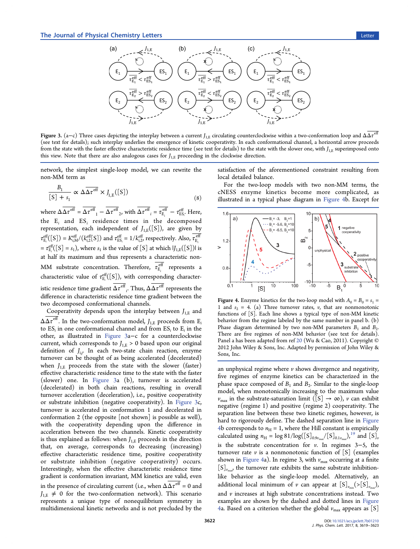

Figure 3. (a–c) Three cases depicting the interplay between a current  $J_{1,E}$  circulating counterclockwise within a two-conformation loop and Δ $\overline{\Delta \tau}^{\text{eff}}$ (see text for details); such interplay underlies the emergence of kinetic cooperativity. In each conformational channel, a horizontal arrow proceeds from the state with the faster effective characteristic residence time (see text for details) to the state with the slower one, with  $J_{1,E}$  superimposed onto this view. Note that there are also analogous cases for  $J_{1,E}$  proceeding in the clockwise direction.

network, the simplest single-loop model, we can rewrite the non-MM term as

$$
\frac{B_1}{[S] + s_1} \propto \Delta \overline{\Delta \tau^{\text{eff}}} \times J_{I,E}([S])
$$
\n(8)

where  $\Delta \Delta \tau^{\text{eff}} = \Delta \tau^{\text{eff}}{}_1 - \Delta \tau^{\text{eff}}{}_2$ , with  $\Delta \tau^{\text{eff}}{}_i = \tau^{\text{eff}}_{\text{E}_i} - \tau^{\text{eff}}_{\text{ES}_i}$ . Here, the  $E_i$  and  $ES_i$  residence times in the decomposed representation, each independent of  $J_{1,E}([S])$ , are given by  $\tau^{\text{eff}}_{\text{E}_i}([S]) = K^{\text{eff}}_{i,M}/\left(k^{\text{eff}}_{i,2}[S]\right)$  and  $\tau^{\text{eff}}_{\text{ES}_i} = 1/k^{\text{eff}}_{i,2}$ , respectively. Also,  $\tau^{\text{eff}}_{\text{E}_i}$ *i*  $=\tau_{E_i}^{\text{eff}}([S] = s_1)$ , where  $s_1$  is the value of [S] at which  $|J_{1,E}([S])|$  is at half its maximum and thus represents a characteristic non-MM substrate concentration. Therefore,  $\tau_{E_i}^{\text{eff}}$  represents a characteristic value of  $\tau_{E_i}^{\text{eff}}([S])$ , with corresponding characteristic residence time gradient  $\Delta\tau^\mathrm{eff}$  <sub>i</sub>. Thus,  $\Delta\Delta\tau^\mathrm{eff}$  represents the difference in characteristic residence time gradient between the two decomposed conformational channels.

Cooperativity depends upon the interplay between  $J_{1,E}$  and  $\Delta\Delta\tau^{\rm eff}$ . In the two-conformation model,  $J_{1,E}$  proceeds from E<sub>i</sub> to  $ES_i$  in one conformational channel and from  $ES_i$  to  $E_i$  in the other, as illustrated in Figure 3a−c for a counterclockwise current, which corresponds to  $J_{1,E} > 0$  based upon our original definition of  $J_{i,j}$ . In each two-state chain reaction, enzyme turnover can be thought of as being accelerated (decelerated) when  $J_{1,E}$  proceeds from the state with the slower (faster) effective characteristic residence time to the state with the faster (slower) one. In Figure 3a (b), turnover is accelerated (decelerated) in both chain reactions, resulting in overall turnover acceleration (deceleration), i.e., positive cooperativity or substrate inhibition (negative cooperativity). In Figure 3c, turnover is accelerated in conformation 1 and decelerated in conformation 2 (the opposite [not shown] is possible as well), with the cooperativity depending upon the difference in acceleration between the two channels. Kinetic cooperativity is thus explained as follows: when  $J_{1,E}$  proceeds in the direction that, on average, corresponds to decreasing (increasing) effective characteristic residence time, positive cooperativity or substrate inhibition (negative cooperativity) occurs. Interestingly, when the effective characteristic residence time gradient is conformation invariant, MM kinetics are valid, even in the presence of circulating current (i.e., when  $\Delta \Delta \tau^{\text{eff}} = 0$  and  $J_{\text{LE}} \neq 0$  for the two-conformation network). This scenario represents a unique type of nonequilibrium symmetry in multidimensional kinetic networks and is not precluded by the satisfaction of the aforementioned constraint resulting from local detailed balance.

For the two-loop models with two non-MM terms, the cNESS enzyme kinetics become more complicated, as illustrated in a typical phase diagram in Figure 4b. Except for



Figure 4. Enzyme kinetics for the two-loop model with  $A_0 = B_0 = s_1 =$ 1 and  $s_2 = 4$ . (a) Three turnover rates, v, that are nonmonotonic functions of [S]. Each line shows a typical type of non-MM kinetic behavior from the regime labeled by the same number in panel b. (b) Phase diagram determined by two non-MM parameters  $B_1$  and  $B_2$ . There are five regimes of non-MM behavior (see text for details). Panel a has been adapted from ref [20](#page-4-0) (Wu & Cao, 2011). Copyright © 2012 John Wiley & Sons, Inc. Adapted by permission of John Wiley & Sons, Inc.

an unphysical regime where  $\nu$  shows divergence and negativity, five regimes of enzyme kinetics can be characterized in the phase space composed of  $B_1$  and  $B_2$ . Similar to the single-loop model, when monotonically increasing to the maximum value  $v_{\text{max}}$  in the substrate-saturation limit ([S]  $\rightarrow \infty$ ), v can exhibit negative (regime 1) and positive (regime 2) cooperativity. The separation line between these two kinetic regimes, however, is hard to rigorously define. The dashed separation line in Figure 4b corresponds to  $n<sub>H</sub> = 1$ , where the Hill constant is empirically calculated using  $n_{\rm H} = \log 81/\log ([S]_{0.9v_{\rm max}}/[S]_{0.1v_{\rm max}})^{19}$  $n_{\rm H} = \log 81/\log ([S]_{0.9v_{\rm max}}/[S]_{0.1v_{\rm max}})^{19}$  $n_{\rm H} = \log 81/\log ([S]_{0.9v_{\rm max}}/[S]_{0.1v_{\rm max}})^{19}$  and  $[S]_{\nu}$ is the substrate concentration for v. In regimes 3−5, the turnover rate  $\nu$  is a nonmonotonic function of [S] (examples shown in Figure 4a). In regime 3, with  $v_{\text{max}}$  occurring at a finite  $[S]_{v_{\text{max}}}$ , the turnover rate exhibits the same substrate inhibitionlike behavior as the single-loop model. Alternatively, an additional local minimum of v can appear at  $[S]_{v_{\text{min}}}(\geq [S]_{v_{\text{max}}})$ , and  $\nu$  increases at high substrate concentrations instead. Two examples are shown by the dashed and dotted lines in Figure 4a. Based on a criterion whether the global  $v_{\text{max}}$  appears as [S]